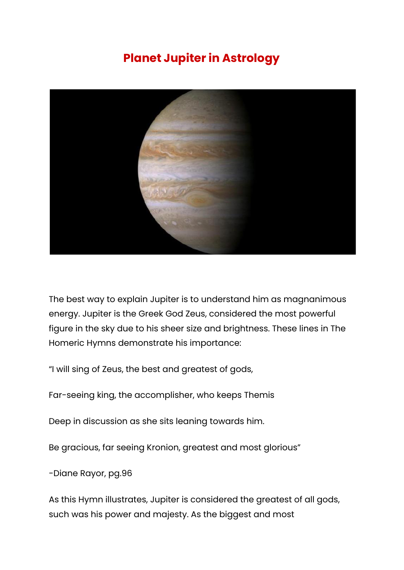## **Planet Jupiter in Astrology**



The best way to explain Jupiter is to understand him as magnanimous energy. Jupiter is the Greek God Zeus, considered the most powerful figure in the sky due to his sheer size and brightness. These lines in The Homeric Hymns demonstrate his importance:

"I will sing of Zeus, the best and greatest of gods,

Far-seeing king, the accomplisher, who keeps Themis

Deep in discussion as she sits leaning towards him.

Be gracious, far seeing Kronion, greatest and most glorious"

-Diane Rayor, pg.96

As this Hymn illustrates, Jupiter is considered the greatest of all gods, such was his power and majesty. As the biggest and most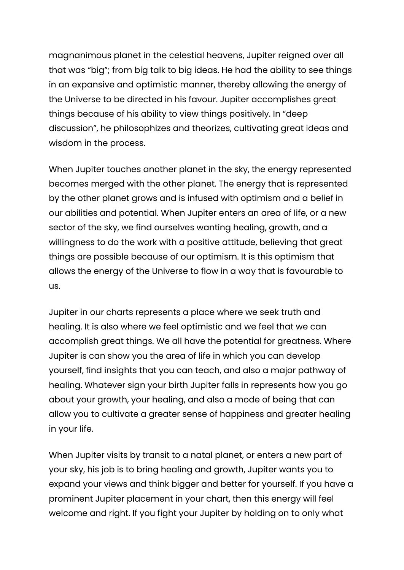magnanimous planet in the celestial heavens, Jupiter reigned over all that was "big"; from big talk to big ideas. He had the ability to see things in an expansive and optimistic manner, thereby allowing the energy of the Universe to be directed in his favour. Jupiter accomplishes great things because of his ability to view things positively. In "deep discussion", he philosophizes and theorizes, cultivating great ideas and wisdom in the process.

When Jupiter touches another planet in the sky, the energy represented becomes merged with the other planet. The energy that is represented by the other planet grows and is infused with optimism and a belief in our abilities and potential. When Jupiter enters an area of life, or a new sector of the sky, we find ourselves wanting healing, growth, and a willingness to do the work with a positive attitude, believing that great things are possible because of our optimism. It is this optimism that allows the energy of the Universe to flow in a way that is favourable to us.

Jupiter in our charts represents a place where we seek truth and healing. It is also where we feel optimistic and we feel that we can accomplish great things. We all have the potential for greatness. Where Jupiter is can show you the area of life in which you can develop yourself, find insights that you can teach, and also a major pathway of healing. Whatever sign your birth Jupiter falls in represents how you go about your growth, your healing, and also a mode of being that can allow you to cultivate a greater sense of happiness and greater healing in your life.

When Jupiter visits by transit to a natal planet, or enters a new part of your sky, his job is to bring healing and growth, Jupiter wants you to expand your views and think bigger and better for yourself. If you have a prominent Jupiter placement in your chart, then this energy will feel welcome and right. If you fight your Jupiter by holding on to only what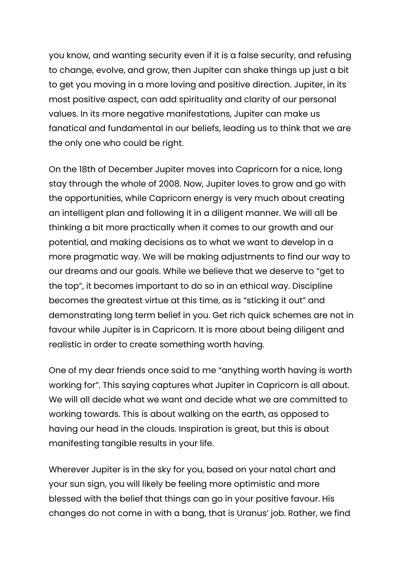you know, and wanting security even if it is a false security, and refusing to change, evolve, and grow, then Jupiter can shake things up just a bit to get you moving in a more loving and positive direction. Jupiter, in its most positive aspect, can add spirituality and clarity of our personal values. In its more negative manifestations, Jupiter can make us fanatical and fundamental in our beliefs, leading us to think that we are the only one who could be right.

On the 18th of December Jupiter moves into Capricorn for a nice, long stay through the whole of 2008. Now, Jupiter loves to grow and go with the opportunities, while Capricorn energy is very much about creating an intelligent plan and following it in a diligent manner. We will all be thinking a bit more practically when it comes to our growth and our potential, and making decisions as to what we want to develop in a more pragmatic way. We will be making adjustments to find our way to our dreams and our goals. While we believe that we deserve to "get to the top", it becomes important to do so in an ethical way. Discipline becomes the greatest virtue at this time, as is "sticking it out" and demonstrating long term belief in you. Get rich quick schemes are not in favour while Jupiter is in Capricorn. It is more about being diligent and realistic in order to create something worth having.

One of my dear friends once said to me "anything worth having is worth working for". This saying captures what Jupiter in Capricorn is all about. We will all decide what we want and decide what we are committed to working towards. This is about walking on the earth, as opposed to having our head in the clouds. Inspiration is great, but this is about manifesting tangible results in your life.

Wherever Jupiter is in the sky for you, based on your natal chart and your sun sign, you will likely be feeling more optimistic and more blessed with the belief that things can go in your positive favour. His changes do not come in with a bang, that is Uranus' job. Rather, we find